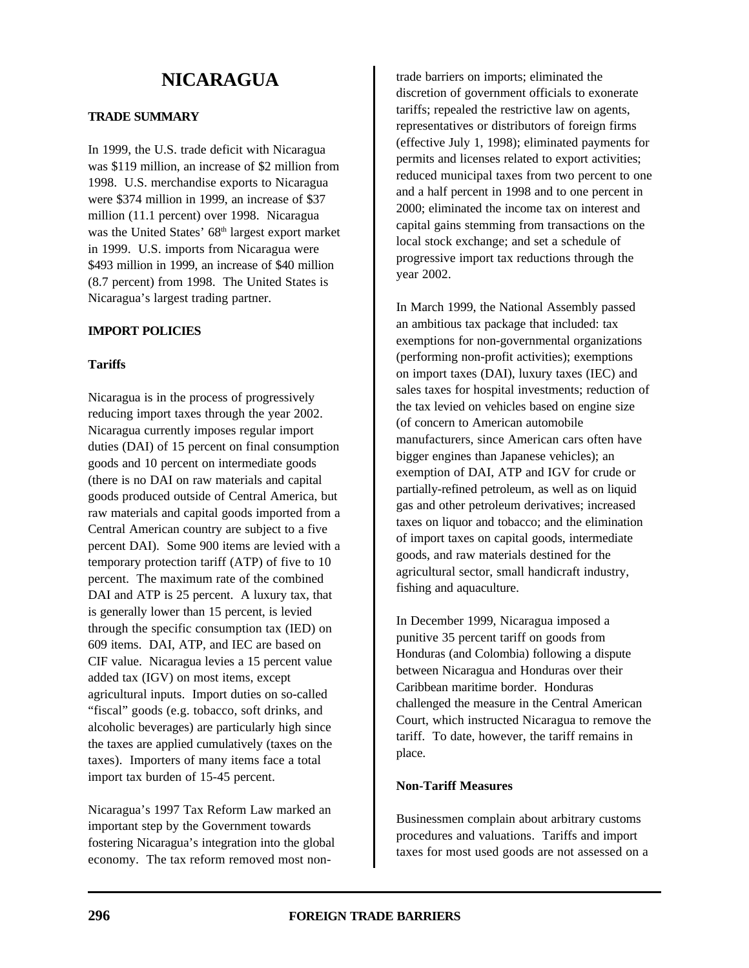# **NICARAGUA**

## **TRADE SUMMARY**

In 1999, the U.S. trade deficit with Nicaragua was \$119 million, an increase of \$2 million from 1998. U.S. merchandise exports to Nicaragua were \$374 million in 1999, an increase of \$37 million (11.1 percent) over 1998. Nicaragua was the United States' 68<sup>th</sup> largest export market in 1999. U.S. imports from Nicaragua were \$493 million in 1999, an increase of \$40 million (8.7 percent) from 1998. The United States is Nicaragua's largest trading partner.

## **IMPORT POLICIES**

## **Tariffs**

Nicaragua is in the process of progressively reducing import taxes through the year 2002. Nicaragua currently imposes regular import duties (DAI) of 15 percent on final consumption goods and 10 percent on intermediate goods (there is no DAI on raw materials and capital goods produced outside of Central America, but raw materials and capital goods imported from a Central American country are subject to a five percent DAI). Some 900 items are levied with a temporary protection tariff (ATP) of five to 10 percent. The maximum rate of the combined DAI and ATP is 25 percent. A luxury tax, that is generally lower than 15 percent, is levied through the specific consumption tax (IED) on 609 items. DAI, ATP, and IEC are based on CIF value. Nicaragua levies a 15 percent value added tax (IGV) on most items, except agricultural inputs. Import duties on so-called "fiscal" goods (e.g. tobacco, soft drinks, and alcoholic beverages) are particularly high since the taxes are applied cumulatively (taxes on the taxes). Importers of many items face a total import tax burden of 15-45 percent.

Nicaragua's 1997 Tax Reform Law marked an important step by the Government towards fostering Nicaragua's integration into the global economy. The tax reform removed most nontrade barriers on imports; eliminated the discretion of government officials to exonerate tariffs; repealed the restrictive law on agents, representatives or distributors of foreign firms (effective July 1, 1998); eliminated payments for permits and licenses related to export activities; reduced municipal taxes from two percent to one and a half percent in 1998 and to one percent in 2000; eliminated the income tax on interest and capital gains stemming from transactions on the local stock exchange; and set a schedule of progressive import tax reductions through the year 2002.

In March 1999, the National Assembly passed an ambitious tax package that included: tax exemptions for non-governmental organizations (performing non-profit activities); exemptions on import taxes (DAI), luxury taxes (IEC) and sales taxes for hospital investments; reduction of the tax levied on vehicles based on engine size (of concern to American automobile manufacturers, since American cars often have bigger engines than Japanese vehicles); an exemption of DAI, ATP and IGV for crude or partially-refined petroleum, as well as on liquid gas and other petroleum derivatives; increased taxes on liquor and tobacco; and the elimination of import taxes on capital goods, intermediate goods, and raw materials destined for the agricultural sector, small handicraft industry, fishing and aquaculture.

In December 1999, Nicaragua imposed a punitive 35 percent tariff on goods from Honduras (and Colombia) following a dispute between Nicaragua and Honduras over their Caribbean maritime border. Honduras challenged the measure in the Central American Court, which instructed Nicaragua to remove the tariff. To date, however, the tariff remains in place.

## **Non-Tariff Measures**

Businessmen complain about arbitrary customs procedures and valuations. Tariffs and import taxes for most used goods are not assessed on a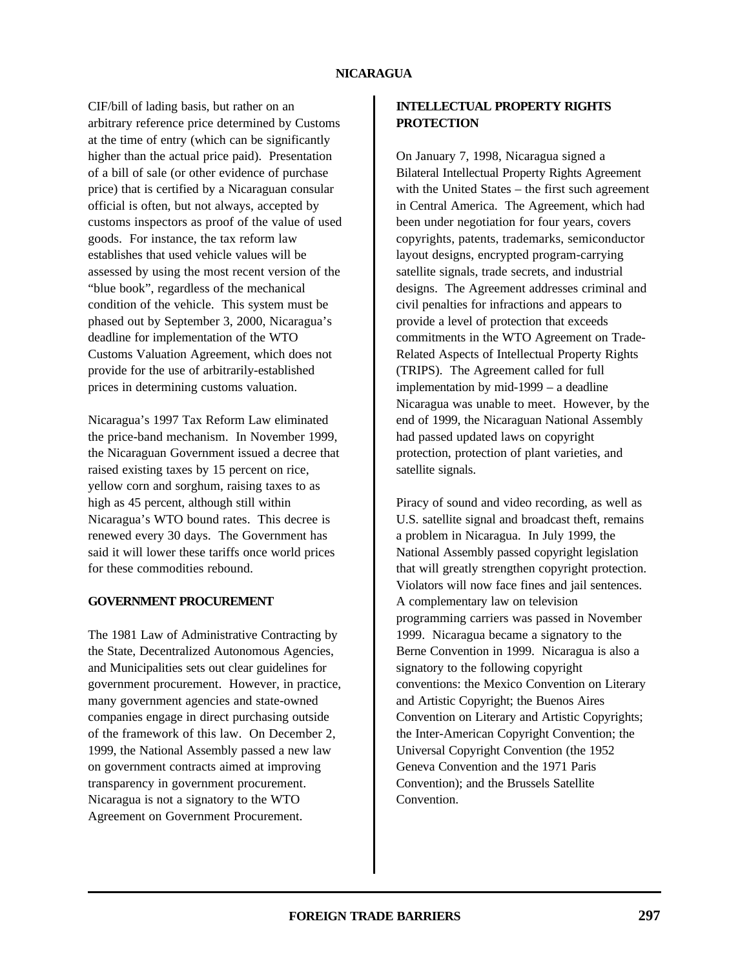CIF/bill of lading basis, but rather on an arbitrary reference price determined by Customs at the time of entry (which can be significantly higher than the actual price paid). Presentation of a bill of sale (or other evidence of purchase price) that is certified by a Nicaraguan consular official is often, but not always, accepted by customs inspectors as proof of the value of used goods. For instance, the tax reform law establishes that used vehicle values will be assessed by using the most recent version of the "blue book", regardless of the mechanical condition of the vehicle. This system must be phased out by September 3, 2000, Nicaragua's deadline for implementation of the WTO Customs Valuation Agreement, which does not provide for the use of arbitrarily-established prices in determining customs valuation.

Nicaragua's 1997 Tax Reform Law eliminated the price-band mechanism. In November 1999, the Nicaraguan Government issued a decree that raised existing taxes by 15 percent on rice, yellow corn and sorghum, raising taxes to as high as 45 percent, although still within Nicaragua's WTO bound rates. This decree is renewed every 30 days. The Government has said it will lower these tariffs once world prices for these commodities rebound.

## **GOVERNMENT PROCUREMENT**

The 1981 Law of Administrative Contracting by the State, Decentralized Autonomous Agencies, and Municipalities sets out clear guidelines for government procurement. However, in practice, many government agencies and state-owned companies engage in direct purchasing outside of the framework of this law. On December 2, 1999, the National Assembly passed a new law on government contracts aimed at improving transparency in government procurement. Nicaragua is not a signatory to the WTO Agreement on Government Procurement.

# **INTELLECTUAL PROPERTY RIGHTS PROTECTION**

On January 7, 1998, Nicaragua signed a Bilateral Intellectual Property Rights Agreement with the United States – the first such agreement in Central America. The Agreement, which had been under negotiation for four years, covers copyrights, patents, trademarks, semiconductor layout designs, encrypted program-carrying satellite signals, trade secrets, and industrial designs. The Agreement addresses criminal and civil penalties for infractions and appears to provide a level of protection that exceeds commitments in the WTO Agreement on Trade-Related Aspects of Intellectual Property Rights (TRIPS). The Agreement called for full implementation by mid-1999 – a deadline Nicaragua was unable to meet. However, by the end of 1999, the Nicaraguan National Assembly had passed updated laws on copyright protection, protection of plant varieties, and satellite signals.

Piracy of sound and video recording, as well as U.S. satellite signal and broadcast theft, remains a problem in Nicaragua. In July 1999, the National Assembly passed copyright legislation that will greatly strengthen copyright protection. Violators will now face fines and jail sentences. A complementary law on television programming carriers was passed in November 1999. Nicaragua became a signatory to the Berne Convention in 1999. Nicaragua is also a signatory to the following copyright conventions: the Mexico Convention on Literary and Artistic Copyright; the Buenos Aires Convention on Literary and Artistic Copyrights; the Inter-American Copyright Convention; the Universal Copyright Convention (the 1952 Geneva Convention and the 1971 Paris Convention); and the Brussels Satellite Convention.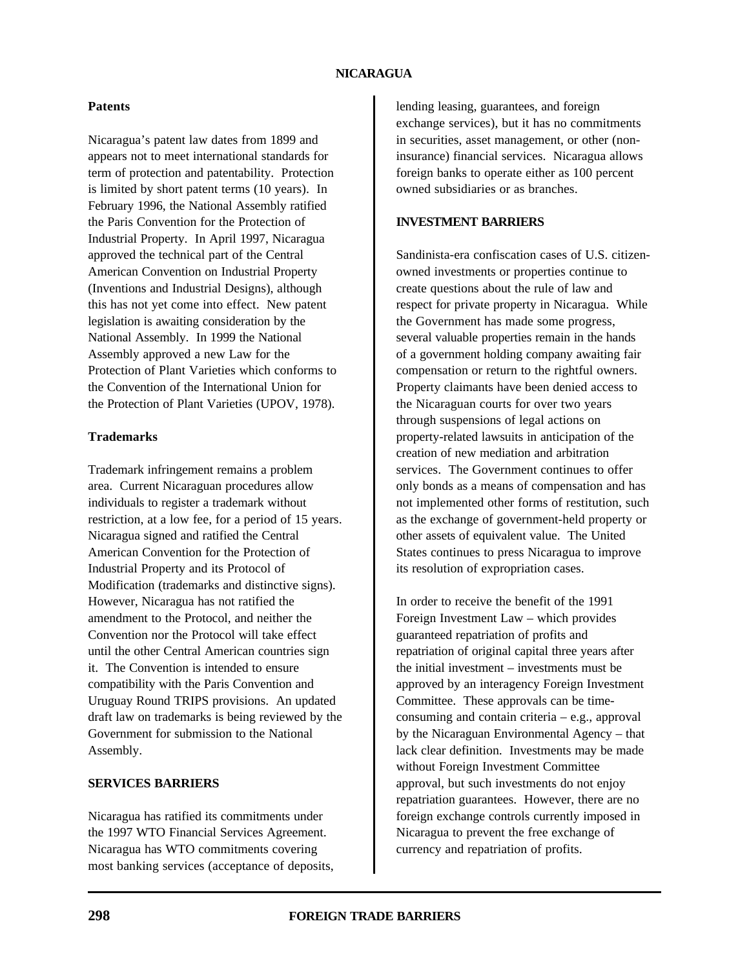### **NICARAGUA**

#### **Patents**

Nicaragua's patent law dates from 1899 and appears not to meet international standards for term of protection and patentability. Protection is limited by short patent terms (10 years). In February 1996, the National Assembly ratified the Paris Convention for the Protection of Industrial Property. In April 1997, Nicaragua approved the technical part of the Central American Convention on Industrial Property (Inventions and Industrial Designs), although this has not yet come into effect. New patent legislation is awaiting consideration by the National Assembly. In 1999 the National Assembly approved a new Law for the Protection of Plant Varieties which conforms to the Convention of the International Union for the Protection of Plant Varieties (UPOV, 1978).

#### **Trademarks**

Trademark infringement remains a problem area. Current Nicaraguan procedures allow individuals to register a trademark without restriction, at a low fee, for a period of 15 years. Nicaragua signed and ratified the Central American Convention for the Protection of Industrial Property and its Protocol of Modification (trademarks and distinctive signs). However, Nicaragua has not ratified the amendment to the Protocol, and neither the Convention nor the Protocol will take effect until the other Central American countries sign it. The Convention is intended to ensure compatibility with the Paris Convention and Uruguay Round TRIPS provisions. An updated draft law on trademarks is being reviewed by the Government for submission to the National Assembly.

#### **SERVICES BARRIERS**

Nicaragua has ratified its commitments under the 1997 WTO Financial Services Agreement. Nicaragua has WTO commitments covering most banking services (acceptance of deposits, lending leasing, guarantees, and foreign exchange services), but it has no commitments in securities, asset management, or other (noninsurance) financial services. Nicaragua allows foreign banks to operate either as 100 percent owned subsidiaries or as branches.

# **INVESTMENT BARRIERS**

Sandinista-era confiscation cases of U.S. citizenowned investments or properties continue to create questions about the rule of law and respect for private property in Nicaragua. While the Government has made some progress, several valuable properties remain in the hands of a government holding company awaiting fair compensation or return to the rightful owners. Property claimants have been denied access to the Nicaraguan courts for over two years through suspensions of legal actions on property-related lawsuits in anticipation of the creation of new mediation and arbitration services. The Government continues to offer only bonds as a means of compensation and has not implemented other forms of restitution, such as the exchange of government-held property or other assets of equivalent value. The United States continues to press Nicaragua to improve its resolution of expropriation cases.

In order to receive the benefit of the 1991 Foreign Investment Law – which provides guaranteed repatriation of profits and repatriation of original capital three years after the initial investment – investments must be approved by an interagency Foreign Investment Committee. These approvals can be timeconsuming and contain criteria – e.g., approval by the Nicaraguan Environmental Agency – that lack clear definition. Investments may be made without Foreign Investment Committee approval, but such investments do not enjoy repatriation guarantees. However, there are no foreign exchange controls currently imposed in Nicaragua to prevent the free exchange of currency and repatriation of profits.